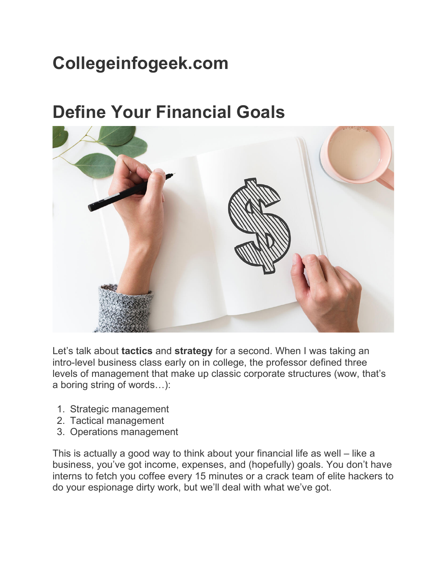#### **Collegeinfogeek.com**

#### **Define Your Financial Goals**



Let's talk about **tactics** and **strategy** for a second. When I was taking an intro-level business class early on in college, the professor defined three levels of management that make up classic corporate structures (wow, that's a boring string of words…):

- 1. Strategic management
- 2. Tactical management
- 3. Operations management

This is actually a good way to think about your financial life as well – like a business, you've got income, expenses, and (hopefully) goals. You don't have interns to fetch you coffee every 15 minutes or a crack team of elite hackers to do your espionage dirty work, but we'll deal with what we've got.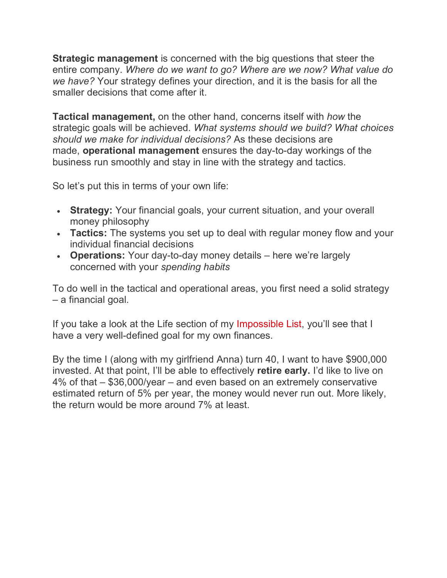**Strategic management** is concerned with the big questions that steer the entire company. *Where do we want to go? Where are we now? What value do we have?* Your strategy defines your direction, and it is the basis for all the smaller decisions that come after it.

**Tactical management,** on the other hand, concerns itself with *how* the strategic goals will be achieved. *What systems should we build? What choices should we make for individual decisions?* As these decisions are made, **operational management** ensures the day-to-day workings of the business run smoothly and stay in line with the strategy and tactics.

So let's put this in terms of your own life:

- **Strategy:** Your financial goals, your current situation, and your overall money philosophy
- **Tactics:** The systems you set up to deal with regular money flow and your individual financial decisions
- **Operations:** Your day-to-day money details here we're largely concerned with your *spending habits*

To do well in the tactical and operational areas, you first need a solid strategy – a financial goal.

If you take a look at the Life section of my Impossible List, you'll see that I have a very well-defined goal for my own finances.

By the time I (along with my girlfriend Anna) turn 40, I want to have \$900,000 invested. At that point, I'll be able to effectively **retire early.** I'd like to live on 4% of that – \$36,000/year – and even based on an extremely conservative estimated return of 5% per year, the money would never run out. More likely, the return would be more around 7% at least.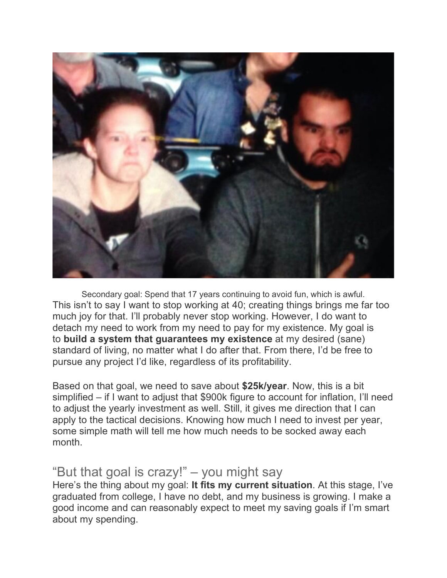

Secondary goal: Spend that 17 years continuing to avoid fun, which is awful. This isn't to say I want to stop working at 40; creating things brings me far too much joy for that. I'll probably never stop working. However, I do want to detach my need to work from my need to pay for my existence. My goal is to **build a system that guarantees my existence** at my desired (sane) standard of living, no matter what I do after that. From there, I'd be free to pursue any project I'd like, regardless of its profitability.

Based on that goal, we need to save about **\$25k/year**. Now, this is a bit simplified – if I want to adjust that \$900k figure to account for inflation, I'll need to adjust the yearly investment as well. Still, it gives me direction that I can apply to the tactical decisions. Knowing how much I need to invest per year, some simple math will tell me how much needs to be socked away each month.

#### "But that goal is crazy!" – you might say

Here's the thing about my goal: **It fits my current situation**. At this stage, I've graduated from college, I have no debt, and my business is growing. I make a good income and can reasonably expect to meet my saving goals if I'm smart about my spending.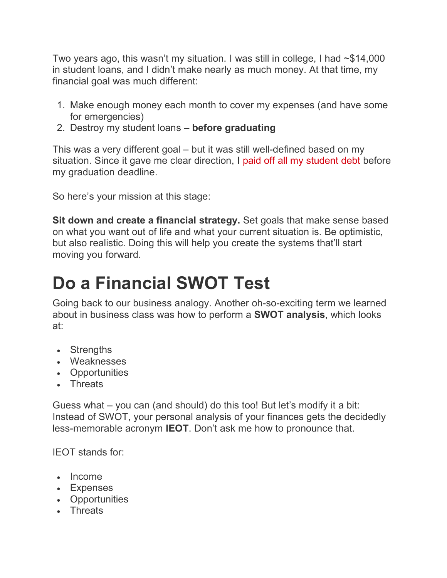Two years ago, this wasn't my situation. I was still in college, I had ~\$14,000 in student loans, and I didn't make nearly as much money. At that time, my financial goal was much different:

- 1. Make enough money each month to cover my expenses (and have some for emergencies)
- 2. Destroy my student loans **before graduating**

This was a very different goal – but it was still well-defined based on my situation. Since it gave me clear direction, I paid off all my student debt before my graduation deadline.

So here's your mission at this stage:

**Sit down and create a financial strategy.** Set goals that make sense based on what you want out of life and what your current situation is. Be optimistic, but also realistic. Doing this will help you create the systems that'll start moving you forward.

## **Do a Financial SWOT Test**

Going back to our business analogy. Another oh-so-exciting term we learned about in business class was how to perform a **SWOT analysis**, which looks at:

- Strengths
- Weaknesses
- Opportunities
- Threats

Guess what – you can (and should) do this too! But let's modify it a bit: Instead of SWOT, your personal analysis of your finances gets the decidedly less-memorable acronym **IEOT**. Don't ask me how to pronounce that.

IEOT stands for:

- Income
- Expenses
- Opportunities
- Threats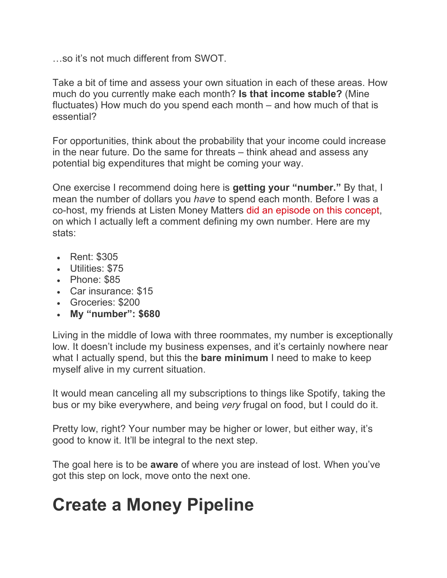…so it's not much different from SWOT.

Take a bit of time and assess your own situation in each of these areas. How much do you currently make each month? **Is that income stable?** (Mine fluctuates) How much do you spend each month – and how much of that is essential?

For opportunities, think about the probability that your income could increase in the near future. Do the same for threats – think ahead and assess any potential big expenditures that might be coming your way.

One exercise I recommend doing here is **getting your "number."** By that, I mean the number of dollars you *have* to spend each month. Before I was a co-host, my friends at Listen Money Matters did an episode on this concept, on which I actually left a comment defining my own number. Here are my stats:

- Rent: \$305
- Utilities: \$75
- Phone: \$85
- Car insurance: \$15
- Groceries: \$200
- **My "number": \$680**

Living in the middle of Iowa with three roommates, my number is exceptionally low. It doesn't include my business expenses, and it's certainly nowhere near what I actually spend, but this the **bare minimum** I need to make to keep myself alive in my current situation.

It would mean canceling all my subscriptions to things like Spotify, taking the bus or my bike everywhere, and being *very* frugal on food, but I could do it.

Pretty low, right? Your number may be higher or lower, but either way, it's good to know it. It'll be integral to the next step.

The goal here is to be **aware** of where you are instead of lost. When you've got this step on lock, move onto the next one.

## **Create a Money Pipeline**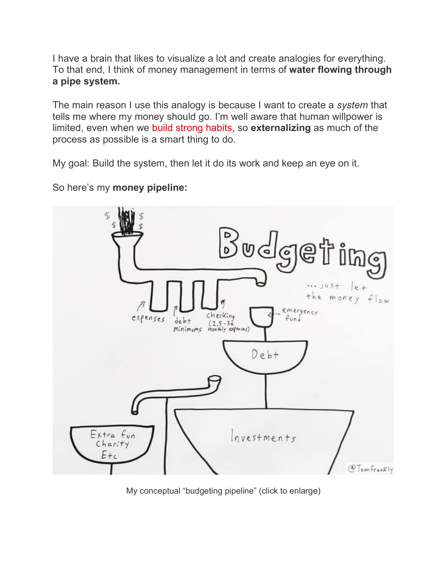I have a brain that likes to visualize a lot and create analogies for everything. To that end, I think of money management in terms of **water flowing through a pipe system.**

The main reason I use this analogy is because I want to create a *system* that tells me where my money should go. I'm well aware that human willpower is limited, even when we build strong habits, so **externalizing** as much of the process as possible is a smart thing to do.

My goal: Build the system, then let it do its work and keep an eye on it.



So here's my **money pipeline:**

My conceptual "budgeting pipeline" (click to enlarge)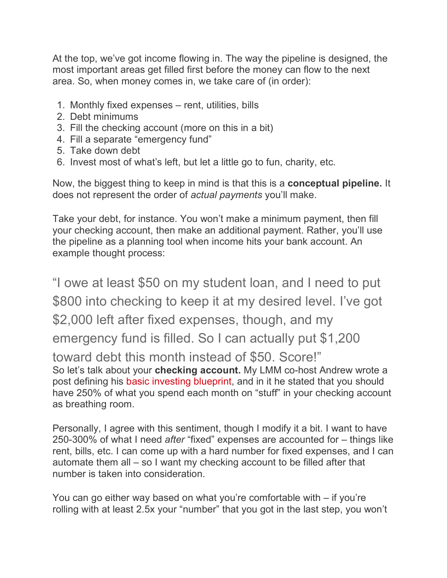At the top, we've got income flowing in. The way the pipeline is designed, the most important areas get filled first before the money can flow to the next area. So, when money comes in, we take care of (in order):

- 1. Monthly fixed expenses rent, utilities, bills
- 2. Debt minimums
- 3. Fill the checking account (more on this in a bit)
- 4. Fill a separate "emergency fund"
- 5. Take down debt
- 6. Invest most of what's left, but let a little go to fun, charity, etc.

Now, the biggest thing to keep in mind is that this is a **conceptual pipeline.** It does not represent the order of *actual payments* you'll make.

Take your debt, for instance. You won't make a minimum payment, then fill your checking account, then make an additional payment. Rather, you'll use the pipeline as a planning tool when income hits your bank account. An example thought process:

"I owe at least \$50 on my student loan, and I need to put \$800 into checking to keep it at my desired level. I've got \$2,000 left after fixed expenses, though, and my emergency fund is filled. So I can actually put \$1,200 toward debt this month instead of \$50. Score!" So let's talk about your **checking account.** My LMM co-host Andrew wrote a post defining his basic investing blueprint, and in it he stated that you should have 250% of what you spend each month on "stuff" in your checking account as breathing room.

Personally, I agree with this sentiment, though I modify it a bit. I want to have 250-300% of what I need *after* "fixed" expenses are accounted for – things like rent, bills, etc. I can come up with a hard number for fixed expenses, and I can automate them all – so I want my checking account to be filled after that number is taken into consideration.

You can go either way based on what you're comfortable with – if you're rolling with at least 2.5x your "number" that you got in the last step, you won't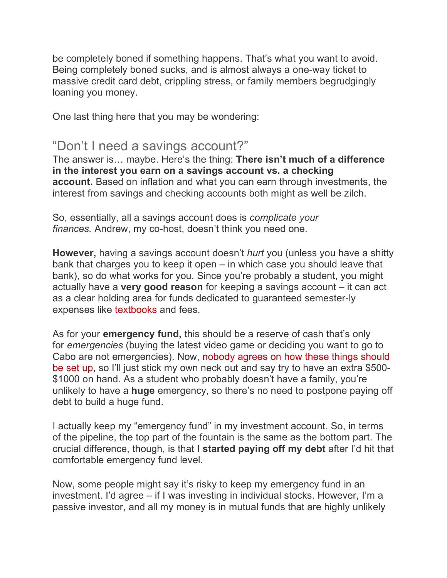be completely boned if something happens. That's what you want to avoid. Being completely boned sucks, and is almost always a one-way ticket to massive credit card debt, crippling stress, or family members begrudgingly loaning you money.

One last thing here that you may be wondering:

#### "Don't I need a savings account?"

The answer is… maybe. Here's the thing: **There isn't much of a difference in the interest you earn on a savings account vs. a checking account.** Based on inflation and what you can earn through investments, the interest from savings and checking accounts both might as well be zilch.

So, essentially, all a savings account does is *complicate your finances.* Andrew, my co-host, doesn't think you need one.

**However,** having a savings account doesn't *hurt* you (unless you have a shitty bank that charges you to keep it open – in which case you should leave that bank), so do what works for you. Since you're probably a student, you might actually have a **very good reason** for keeping a savings account – it can act as a clear holding area for funds dedicated to guaranteed semester-ly expenses like textbooks and fees.

As for your **emergency fund,** this should be a reserve of cash that's only for *emergencies* (buying the latest video game or deciding you want to go to Cabo are not emergencies). Now, nobody agrees on how these things should be set up, so I'll just stick my own neck out and say try to have an extra \$500- \$1000 on hand. As a student who probably doesn't have a family, you're unlikely to have a **huge** emergency, so there's no need to postpone paying off debt to build a huge fund.

I actually keep my "emergency fund" in my investment account. So, in terms of the pipeline, the top part of the fountain is the same as the bottom part. The crucial difference, though, is that **I started paying off my debt** after I'd hit that comfortable emergency fund level.

Now, some people might say it's risky to keep my emergency fund in an investment. I'd agree – if I was investing in individual stocks. However, I'm a passive investor, and all my money is in mutual funds that are highly unlikely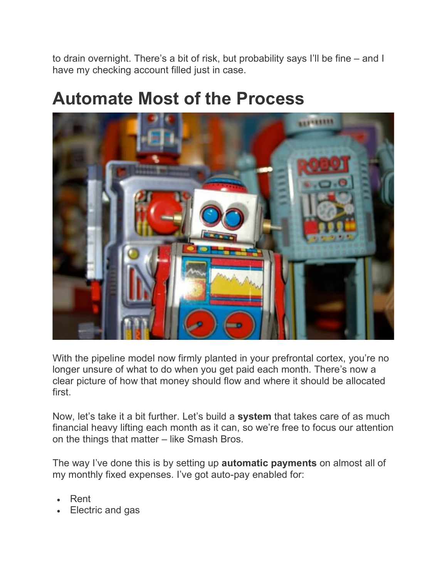to drain overnight. There's a bit of risk, but probability says I'll be fine – and I have my checking account filled just in case.

#### **Automate Most of the Process**



With the pipeline model now firmly planted in your prefrontal cortex, you're no longer unsure of what to do when you get paid each month. There's now a clear picture of how that money should flow and where it should be allocated first.

Now, let's take it a bit further. Let's build a **system** that takes care of as much financial heavy lifting each month as it can, so we're free to focus our attention on the things that matter – like Smash Bros.

The way I've done this is by setting up **automatic payments** on almost all of my monthly fixed expenses. I've got auto-pay enabled for:

- Rent
- Electric and gas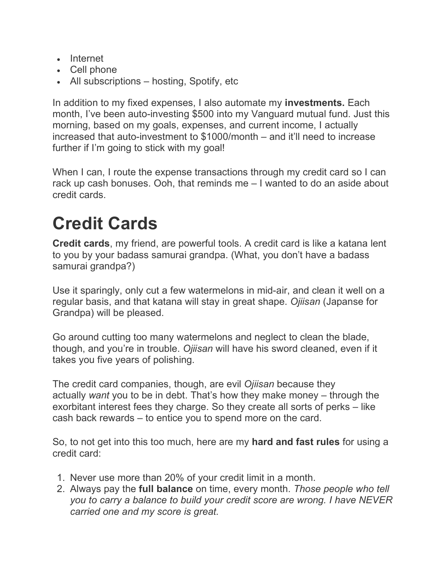- Internet
- Cell phone
- All subscriptions hosting, Spotify, etc

In addition to my fixed expenses, I also automate my **investments.** Each month, I've been auto-investing \$500 into my Vanguard mutual fund. Just this morning, based on my goals, expenses, and current income, I actually increased that auto-investment to \$1000/month – and it'll need to increase further if I'm going to stick with my goal!

When I can, I route the expense transactions through my credit card so I can rack up cash bonuses. Ooh, that reminds me – I wanted to do an aside about credit cards.

## **Credit Cards**

**Credit cards**, my friend, are powerful tools. A credit card is like a katana lent to you by your badass samurai grandpa. (What, you don't have a badass samurai grandpa?)

Use it sparingly, only cut a few watermelons in mid-air, and clean it well on a regular basis, and that katana will stay in great shape. *Ojiisan* (Japanse for Grandpa) will be pleased.

Go around cutting too many watermelons and neglect to clean the blade, though, and you're in trouble. *Ojiisan* will have his sword cleaned, even if it takes you five years of polishing.

The credit card companies, though, are evil *Ojiisan* because they actually *want* you to be in debt. That's how they make money – through the exorbitant interest fees they charge. So they create all sorts of perks – like cash back rewards – to entice you to spend more on the card.

So, to not get into this too much, here are my **hard and fast rules** for using a credit card:

- 1. Never use more than 20% of your credit limit in a month.
- 2. Always pay the **full balance** on time, every month. *Those people who tell you to carry a balance to build your credit score are wrong. I have NEVER carried one and my score is great.*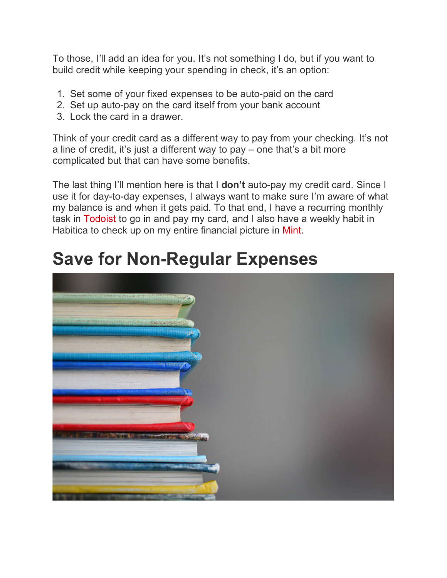To those, I'll add an idea for you. It's not something I do, but if you want to build credit while keeping your spending in check, it's an option:

- 1. Set some of your fixed expenses to be auto-paid on the card
- 2. Set up auto-pay on the card itself from your bank account
- 3. Lock the card in a drawer.

Think of your credit card as a different way to pay from your checking. It's not a line of credit, it's just a different way to pay – one that's a bit more complicated but that can have some benefits.

The last thing I'll mention here is that I **don't** auto-pay my credit card. Since I use it for day-to-day expenses, I always want to make sure I'm aware of what my balance is and when it gets paid. To that end, I have a recurring monthly task in Todoist to go in and pay my card, and I also have a weekly habit in Habitica to check up on my entire financial picture in Mint.

## **Save for Non-Regular Expenses**

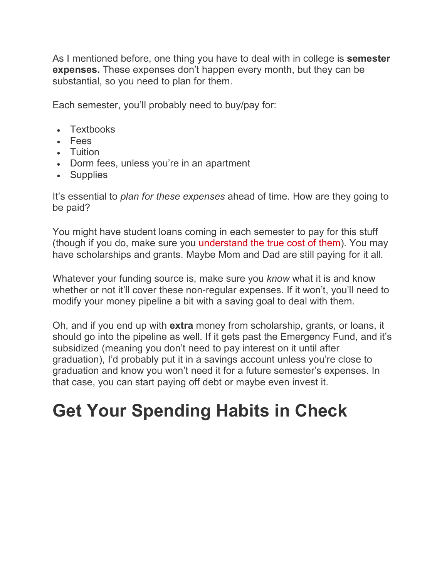As I mentioned before, one thing you have to deal with in college is **semester expenses.** These expenses don't happen every month, but they can be substantial, so you need to plan for them.

Each semester, you'll probably need to buy/pay for:

- Textbooks
- Fees
- Tuition
- Dorm fees, unless you're in an apartment
- Supplies

It's essential to *plan for these expenses* ahead of time. How are they going to be paid?

You might have student loans coming in each semester to pay for this stuff (though if you do, make sure you understand the true cost of them). You may have scholarships and grants. Maybe Mom and Dad are still paying for it all.

Whatever your funding source is, make sure you *know* what it is and know whether or not it'll cover these non-regular expenses. If it won't, you'll need to modify your money pipeline a bit with a saving goal to deal with them.

Oh, and if you end up with **extra** money from scholarship, grants, or loans, it should go into the pipeline as well. If it gets past the Emergency Fund, and it's subsidized (meaning you don't need to pay interest on it until after graduation), I'd probably put it in a savings account unless you're close to graduation and know you won't need it for a future semester's expenses. In that case, you can start paying off debt or maybe even invest it.

### **Get Your Spending Habits in Check**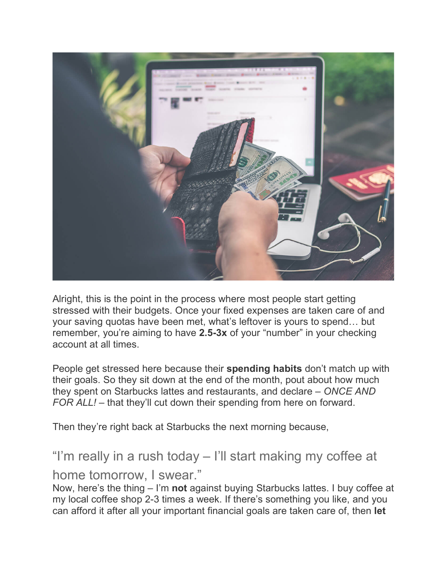

Alright, this is the point in the process where most people start getting stressed with their budgets. Once your fixed expenses are taken care of and your saving quotas have been met, what's leftover is yours to spend… but remember, you're aiming to have **2.5-3x** of your "number" in your checking account at all times.

People get stressed here because their **spending habits** don't match up with their goals. So they sit down at the end of the month, pout about how much they spent on Starbucks lattes and restaurants, and declare – *ONCE AND FOR ALL! –* that they'll cut down their spending from here on forward.

Then they're right back at Starbucks the next morning because,

"I'm really in a rush today – I'll start making my coffee at home tomorrow, I swear."

Now, here's the thing – I'm **not** against buying Starbucks lattes. I buy coffee at my local coffee shop 2-3 times a week. If there's something you like, and you can afford it after all your important financial goals are taken care of, then **let**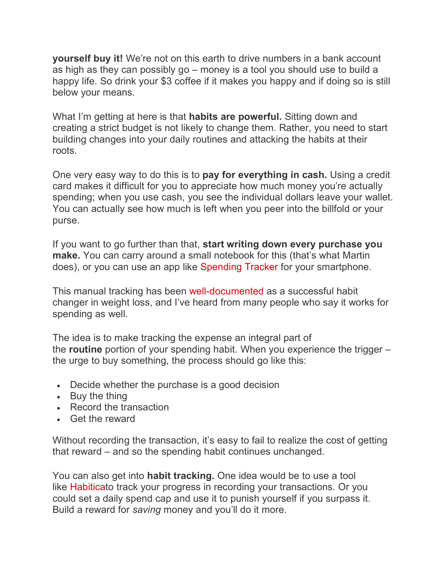**yourself buy it!** We're not on this earth to drive numbers in a bank account as high as they can possibly go – money is a tool you should use to build a happy life. So drink your \$3 coffee if it makes you happy and if doing so is still below your means.

What I'm getting at here is that **habits are powerful.** Sitting down and creating a strict budget is not likely to change them. Rather, you need to start building changes into your daily routines and attacking the habits at their roots.

One very easy way to do this is to **pay for everything in cash.** Using a credit card makes it difficult for you to appreciate how much money you're actually spending; when you use cash, you see the individual dollars leave your wallet. You can actually see how much is left when you peer into the billfold or your purse.

If you want to go further than that, **start writing down every purchase you make.** You can carry around a small notebook for this (that's what Martin does), or you can use an app like Spending Tracker for your smartphone.

This manual tracking has been well-documented as a successful habit changer in weight loss, and I've heard from many people who say it works for spending as well.

The idea is to make tracking the expense an integral part of the **routine** portion of your spending habit. When you experience the trigger – the urge to buy something, the process should go like this:

- Decide whether the purchase is a good decision
- Buy the thing
- Record the transaction
- Get the reward

Without recording the transaction, it's easy to fail to realize the cost of getting that reward – and so the spending habit continues unchanged.

You can also get into **habit tracking.** One idea would be to use a tool like Habiticato track your progress in recording your transactions. Or you could set a daily spend cap and use it to punish yourself if you surpass it. Build a reward for *saving* money and you'll do it more.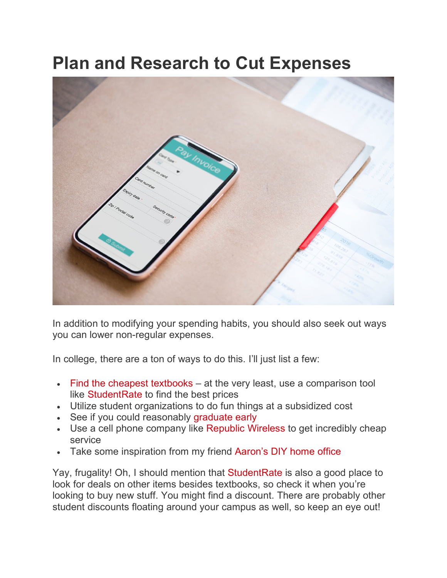#### **Plan and Research to Cut Expenses**



In addition to modifying your spending habits, you should also seek out ways you can lower non-regular expenses.

In college, there are a ton of ways to do this. I'll just list a few:

- Find the cheapest textbooks at the very least, use a comparison tool like StudentRate to find the best prices
- Utilize student organizations to do fun things at a subsidized cost
- See if you could reasonably graduate early
- Use a cell phone company like Republic Wireless to get incredibly cheap service
- Take some inspiration from my friend Aaron's DIY home office

Yay, frugality! Oh, I should mention that StudentRate is also a good place to look for deals on other items besides textbooks, so check it when you're looking to buy new stuff. You might find a discount. There are probably other student discounts floating around your campus as well, so keep an eye out!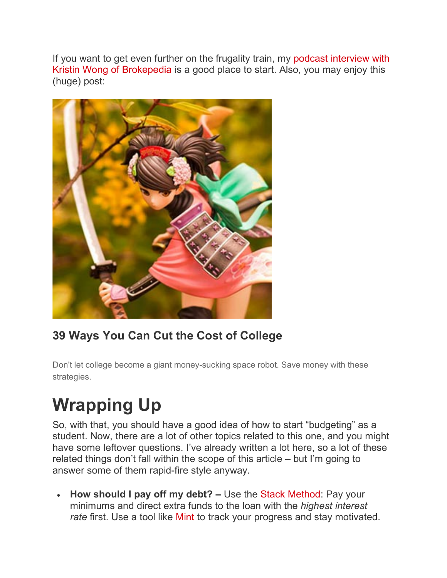If you want to get even further on the frugality train, my podcast interview with Kristin Wong of Brokepedia is a good place to start. Also, you may enjoy this (huge) post:



#### **39 Ways You Can Cut the Cost of College**

Don't let college become a giant money-sucking space robot. Save money with these strategies.

# **Wrapping Up**

So, with that, you should have a good idea of how to start "budgeting" as a student. Now, there are a lot of other topics related to this one, and you might have some leftover questions. I've already written a lot here, so a lot of these related things don't fall within the scope of this article – but I'm going to answer some of them rapid-fire style anyway.

• **How should I pay off my debt? –** Use the Stack Method: Pay your minimums and direct extra funds to the loan with the *highest interest rate* first. Use a tool like Mint to track your progress and stay motivated.